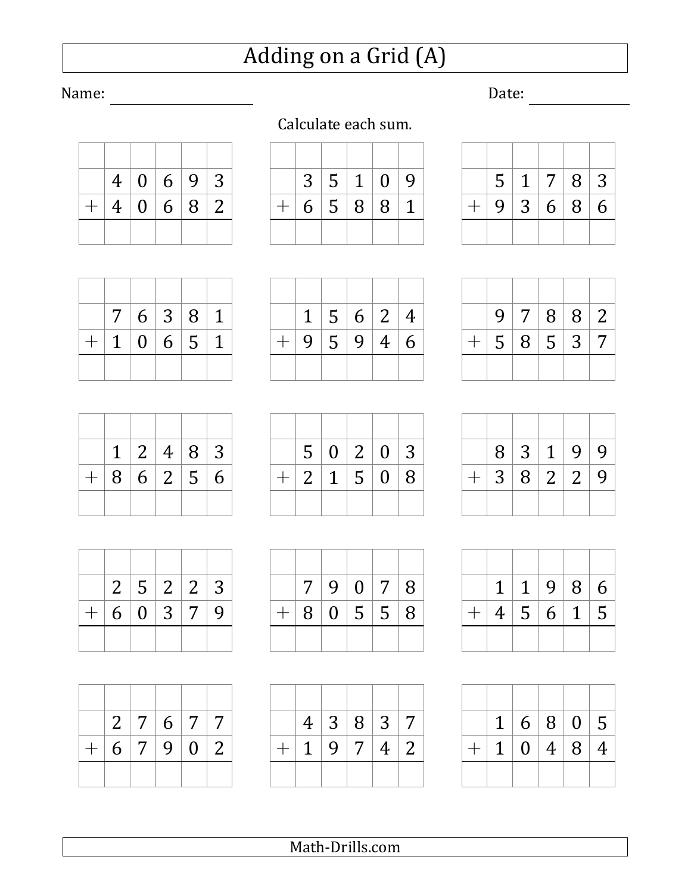## Adding on a Grid (A)

Calculate each sum.

## Name: <u>Date:</u> Date: <u>Date:</u> Date: 2014

|  |  | 4   0   6   9   3 |  |
|--|--|-------------------|--|
|  |  | $+ 4 06 82$       |  |
|  |  |                   |  |

|     |  | 3 5 1 0 9 |  |
|-----|--|-----------|--|
| $+$ |  | 6 5 8 8 1 |  |
|     |  |           |  |

|     |                 | 5   1   7   8   3 |     |   |
|-----|-----------------|-------------------|-----|---|
| $+$ | $9 \mid 3 \mid$ |                   | 6 8 | 6 |

|     |  |         | 9 7 8 8 2 |                |
|-----|--|---------|-----------|----------------|
| $+$ |  | 5 8 5 3 |           | $\overline{7}$ |
|     |  |         |           |                |

|  |  | 8 3 1 9 9 |  |
|--|--|-----------|--|
|  |  | 3 8 2 2 9 |  |
|  |  |           |  |

|     | $1 \mid 1 \mid$ |                   | 9   8   6 |  |
|-----|-----------------|-------------------|-----------|--|
| $+$ |                 | 4   5   6   1   5 |           |  |
|     |                 |                   |           |  |

|  | 1   6   8   0   5 |  |
|--|-------------------|--|
|  | 1   0   4   8   4 |  |
|  |                   |  |

|  | 7   6   3   8   1 |  |
|--|-------------------|--|
|  | $+ 10651$         |  |
|  |                   |  |

|  |  | $1 \mid 5 \mid 6 \mid 2 \mid 4$ |  |
|--|--|---------------------------------|--|
|  |  | 9   5   9   4   6               |  |
|  |  |                                 |  |

|     | 1   2   4   8   3 |  |  |
|-----|-------------------|--|--|
| $+$ | 8   6   2   5   6 |  |  |
|     |                   |  |  |



|           |  | 2 7 6 7 7 |  |
|-----------|--|-----------|--|
| $+6$ 7902 |  |           |  |
|           |  |           |  |

|  | 5   0   2   0   3 |                |                |   |
|--|-------------------|----------------|----------------|---|
|  | $2 \mid 1$        | 5 <sup>1</sup> | $\overline{0}$ | 8 |
|  |                   |                |                |   |

|     | 7 <sup>1</sup> | 9 0 7   | 8 |
|-----|----------------|---------|---|
| $+$ |                | 8 0 5 5 | 8 |
|     |                |         |   |

| $\overline{4}$ |   | 3 8 3           |                | $\vert 7 \vert$ |
|----------------|---|-----------------|----------------|-----------------|
| $\mathbf 1$    | 9 | $\vert 7 \vert$ | 4 <sup>1</sup> | $\mid 2$        |
|                |   |                 |                |                 |

Math-Drills.com